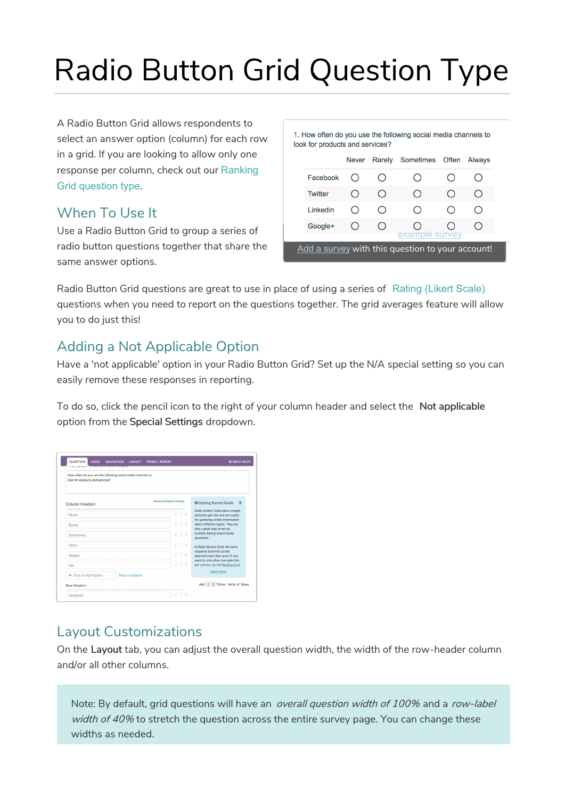# Radio Button Grid Question Type

A Radio Button Grid allows respondents to select an answer option (column) for each row in a grid. If you are looking to allow only one response per column, check out our Ranking Grid question type.

## When To Use It

Use a Radio Button Grid to group a series of radio button questions together that share the same answer options.

| look for products and services? |              |    | 1. How often do you use the following social media channels to |                        |        |
|---------------------------------|--------------|----|----------------------------------------------------------------|------------------------|--------|
|                                 | <b>Never</b> |    | Rarely Sometimes Often                                         |                        | Alwavs |
| Facebook                        |              |    |                                                                |                        |        |
| <b>Twitter</b>                  |              | () |                                                                | $\left( \quad \right)$ |        |
| Linkedin                        |              |    |                                                                |                        |        |
| Google+                         |              |    |                                                                |                        |        |
|                                 |              |    | example survey                                                 |                        |        |

Radio Button Grid questions are great to use in place of using a series of Rating (Likert Scale) questions when you need to report on the questions together. The grid averages feature will allow you to do just this!

# Adding a Not Applicable Option

Have a 'not applicable' option in your Radio Button Grid? Set up the N/A special setting so you can easily remove these responses in reporting.

To do so, click the pencil icon to the right of your column header and select the Not applicable option from the Special Settings dropdown.

| look for products and services?                  | How often do you use the following social media channels to |                                                                                                            |
|--------------------------------------------------|-------------------------------------------------------------|------------------------------------------------------------------------------------------------------------|
|                                                  |                                                             |                                                                                                            |
| Column Headers                                   | <b>Advanced Option Settings</b>                             | <b>O</b> Getting Started Guide<br>$\boldsymbol{\times}$                                                    |
| Never                                            | v<br>$1 \times$                                             | Radio Button Grids allow a single<br>selection per row and are useful<br>for gathering similar information |
| Rarely                                           | P.<br>$1 - x$                                               | about different topics. They are<br>also a great way to set up                                             |
| Sometimes                                        | P<br>$T \times$                                             | multiple Rating (Likert Scale)<br>questions.                                                               |
| Often                                            | P<br>$1 - x$                                                | In Radio Button Grids the same<br>response (column) can be                                                 |
| Always                                           | 4<br>$1 \times$                                             | selected more than once. If you<br>want to only allow one selection                                        |
| <b>NA</b>                                        | P<br>1 自                                                    | per column, try the Ranking Grid.                                                                          |
| + Click to Add Option<br><b>Paste in Options</b> |                                                             | Learn More                                                                                                 |

## Layout Customizations

On the Layout tab, you can adjust the overall question width, the width of the row-header column and/or all other columns.

Note: By default, grid questions will have an overall question width of 100% and a row-label width of 40% to stretch the question across the entire survey page. You can change these widths as needed.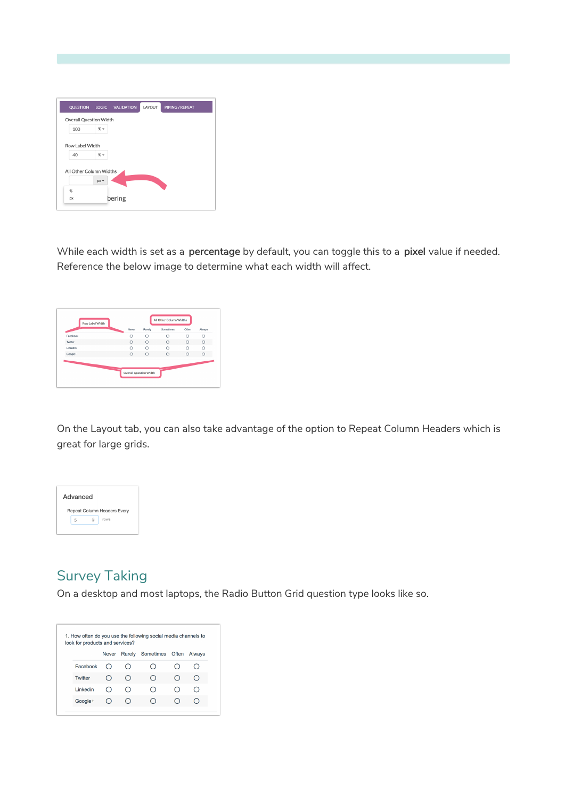| <b>QUESTION</b>               |        | LOGIC VALIDATION | LAYOUT | <b>PIPING/REPEAT</b> |
|-------------------------------|--------|------------------|--------|----------------------|
| <b>Overall Question Width</b> |        |                  |        |                      |
| 100                           | $% +$  |                  |        |                      |
|                               |        |                  |        |                      |
| Row Label Width               |        |                  |        |                      |
| 40                            | $% +$  |                  |        |                      |
|                               |        |                  |        |                      |
|                               |        |                  |        |                      |
| All Other Column Widths       |        |                  |        |                      |
|                               | $px -$ |                  |        |                      |
| %                             |        |                  |        |                      |

While each width is set as a percentage by default, you can toggle this to a pixel value if needed. Reference the below image to determine what each width will affect.

| Row Label Width |         |                               | All Other Column Widths |         |         |
|-----------------|---------|-------------------------------|-------------------------|---------|---------|
|                 | Never   | Rarely                        | Sometimes               | Often   | Always  |
| Facebook        | Ω       | $\circ$                       | C                       | Ō       | Ō       |
| Twitter         | $\circ$ | $\circ$                       | $\circ$                 | $\circ$ | $\circ$ |
| Linkedlin       | Ō       | Ō                             | Ō                       | Ō       | Ō       |
| Google+         | $\circ$ | $\circ$                       | $\circ$                 | $\circ$ | $\circ$ |
|                 |         | <b>Overall Question Width</b> |                         |         |         |

On the Layout tab, you can also take advantage of the option to Repeat Column Headers which is great for large grids.



# Survey Taking

On a desktop and most laptops, the Radio Button Grid question type looks like so.

| look for products and services? |              |     | 1. How often do you use the following social media channels to |        |
|---------------------------------|--------------|-----|----------------------------------------------------------------|--------|
|                                 | <b>Never</b> |     | Rarely Sometimes Often                                         | Always |
| Facebook                        |              | ( ) |                                                                |        |
| <b>Twitter</b>                  |              | ( ) | ()                                                             |        |
| I inkedin                       |              | ( ) |                                                                |        |
| Google+                         |              | ( ) |                                                                |        |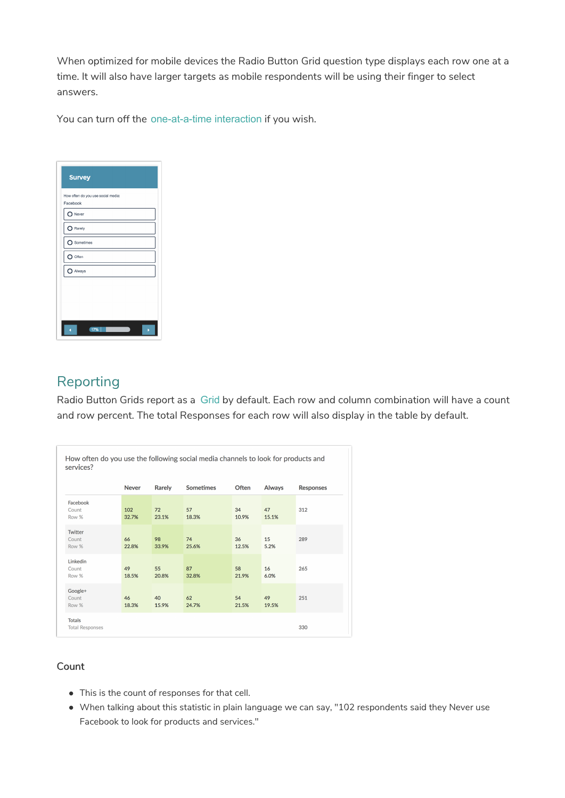When optimized for mobile devices the Radio Button Grid question type displays each row one at a time. It will also have larger targets as mobile respondents will be using their finger to select answers.

You can turn off the one-at-a-time interaction if you wish.

| <b>Survey</b>                                  |
|------------------------------------------------|
| How often do you use social media:<br>Facebook |
| Never                                          |
| $\bigcirc$ Rarely                              |
| O Sometimes                                    |
| O Often                                        |
| Always                                         |
|                                                |
|                                                |
|                                                |
| 17%                                            |

## Reporting

Radio Button Grids report as a Grid by default. Each row and column combination will have a count and row percent. The total Responses for each row will also display in the table by default.

| services?                               |              |             | How often do you use the following social media channels to look for products and |             |               |                  |
|-----------------------------------------|--------------|-------------|-----------------------------------------------------------------------------------|-------------|---------------|------------------|
|                                         | <b>Never</b> | Rarely      | <b>Sometimes</b>                                                                  | Often       | <b>Always</b> | <b>Responses</b> |
| Facebook<br>Count<br>Row %              | 102<br>32.7% | 72<br>23.1% | 57<br>18.3%                                                                       | 34<br>10.9% | 47<br>15.1%   | 312              |
| Twitter<br>Count<br>Row %               | 66<br>22.8%  | 98<br>33.9% | 74<br>25.6%                                                                       | 36<br>12.5% | 15<br>5.2%    | 289              |
| Linkedin<br>Count<br>Row %              | 49<br>18.5%  | 55<br>20.8% | 87<br>32.8%                                                                       | 58<br>21.9% | 16<br>6.0%    | 265              |
| Google+<br>Count<br>Row %               | 46<br>18.3%  | 40<br>15.9% | 62<br>24.7%                                                                       | 54<br>21.5% | 49<br>19.5%   | 251              |
| <b>Totals</b><br><b>Total Responses</b> |              |             |                                                                                   |             |               | 330              |

#### Count

- This is the count of responses for that cell.
- When talking about this statistic in plain language we can say, "102 respondents said they Never use Facebook to look for products and services."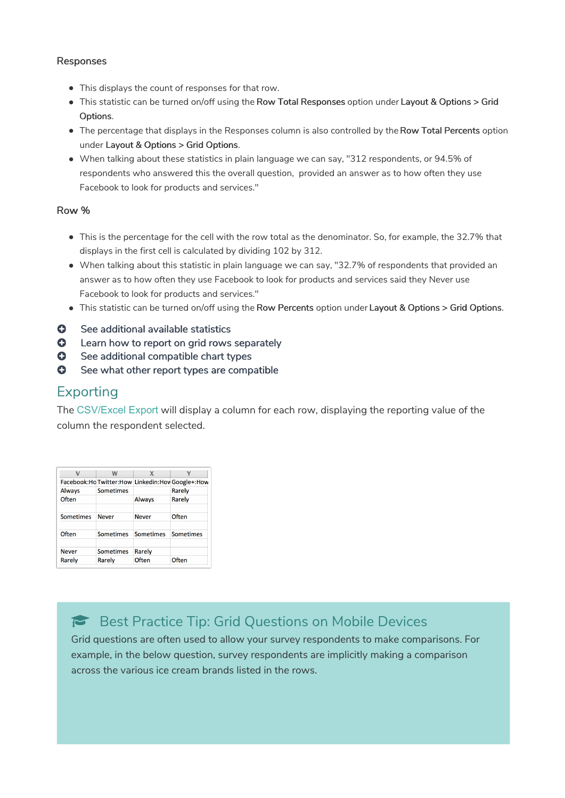#### Responses

- This displays the count of responses for that row.
- This statistic can be turned on/off using the Row Total Responses option under Layout & Options > Grid Options.
- The percentage that displays in the Responses column is also controlled by the Row Total Percents option under Layout & Options > Grid Options.
- When talking about these statistics in plain language we can say, "312 respondents, or 94.5% of respondents who answered this the overall question, provided an answer as to how often they use Facebook to look for products and services."

#### Row %

- This is the percentage for the cell with the row total as the denominator. So, for example, the 32.7% that displays in the first cell is calculated by dividing 102 by 312.
- When talking about this statistic in plain language we can say, "32.7% of respondents that provided an answer as to how often they use Facebook to look for products and services said they Never use Facebook to look for products and services."
- This statistic can be turned on/off using the Row Percents option under Layout & Options > Grid Options.
- **C** See additional available statistics
- **Q** Learn how to report on grid rows separately
- **O** See additional compatible chart types
- **G** See what other report types are compatible

### Exporting

The CSV/Excel Export will display a column for each row, displaying the reporting value of the column the respondent selected.

|                  | W                | x            |                                                      |
|------------------|------------------|--------------|------------------------------------------------------|
|                  |                  |              | Facebook: Ho Twitter: How Linkedin: Hov Google+: How |
| Always           | <b>Sometimes</b> |              | Rarely                                               |
| Often            |                  | Always       | Rarely                                               |
|                  |                  |              |                                                      |
| <b>Sometimes</b> | <b>Never</b>     | <b>Never</b> | Often                                                |
|                  |                  |              |                                                      |
| Often            | <b>Sometimes</b> | Sometimes    | Sometimes                                            |
|                  |                  |              |                                                      |
| <b>Never</b>     | <b>Sometimes</b> | Rarely       |                                                      |
| Rarely           | Rarely           | Often        | Often                                                |

# Best Practice Tip: Grid Questions on Mobile Devices

Grid questions are often used to allow your survey respondents to make comparisons. For example, in the below question, survey respondents are implicitly making a comparison across the various ice cream brands listed in the rows.